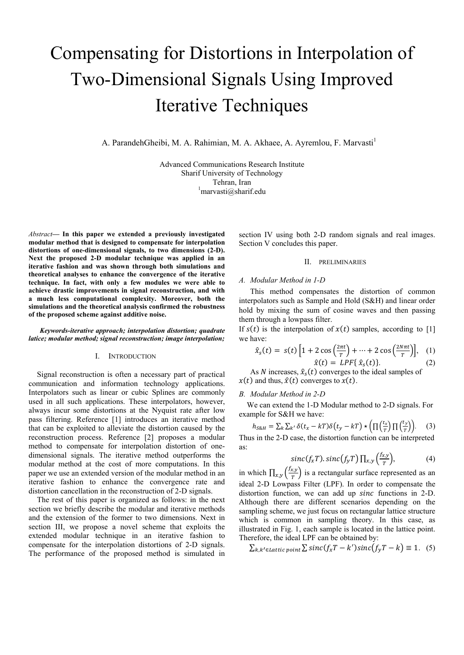# Compensating for Distortions in Interpolation of Two-Dimensional Signals Using Improved Iterative Techniques

A. ParandehGheibi, M. A. Rahimian, M. A. Akhaee, A. Ayremlou, F. Marvasti<sup>1</sup>

Advanced Communications Research Institute Sharif University of Technology Tehran, Iran marvasti@sharif.edu

*Abstract***— In this paper we extended a previously investigated modular method that is designed to compensate for interpolation distortions of one-dimensional signals, to two dimensions (2-D). Next the proposed 2-D modular technique was applied in an iterative fashion and was shown through both simulations and theoretical analyses to enhance the convergence of the iterative technique. In fact, with only a few modules we were able to achieve drastic improvements in signal reconstruction, and with a much less computational complexity. Moreover, both the simulations and the theoretical analysis confirmed the robustness of the proposed scheme against additive noise.** 

#### *Keywords-iterative approach; interpolation distortion; quadrate latice; modular method; signal reconstruction; image interpolation;*

#### I. INTRODUCTION

Signal reconstruction is often a necessary part of practical communication and information technology applications. Interpolators such as linear or cubic Splines are commonly used in all such applications. These interpolators, however, always incur some distortions at the Nyquist rate after low pass filtering. Reference [1] introduces an iterative method that can be exploited to alleviate the distortion caused by the reconstruction process. Reference [2] proposes a modular method to compensate for interpolation distortion of onedimensional signals. The iterative method outperforms the modular method at the cost of more computations. In this paper we use an extended version of the modular method in an iterative fashion to enhance the convergence rate and distortion cancellation in the reconstruction of 2-D signals.

The rest of this paper is organized as follows: in the next section we briefly describe the modular and iterative methods and the extension of the former to two dimensions. Next in section III, we propose a novel scheme that exploits the extended modular technique in an iterative fashion to compensate for the interpolation distortions of 2-D signals. The performance of the proposed method is simulated in section IV using both 2-D random signals and real images. Section V concludes this paper.

# II. PRELIMINARIES

### *A. Modular Method in 1-D*

This method compensates the distortion of common interpolators such as Sample and Hold (S&H) and linear order hold by mixing the sum of cosine waves and then passing them through a lowpass filter.

If  $s(t)$  is the interpolation of  $x(t)$  samples, according to [1] we have:

$$
\hat{x}_s(t) = s(t) \left[ 1 + 2 \cos\left(\frac{2\pi t}{T}\right) + \dots + 2 \cos\left(\frac{2N\pi t}{T}\right) \right], \quad (1)
$$
  

$$
\hat{x}(t) = LPF\{\hat{x}_s(t)\}.
$$
 (2)

As N increases,  $\hat{x}_{s}(t)$  converges to the ideal samples of  $x(t)$  and thus,  $\hat{x}(t)$  converges to  $x(t)$ .

### *B. Modular Method in 2-D*

We can extend the 1-D Modular method to 2-D signals. For example for S&H we have:

$$
h_{S\&H} = \sum_{k} \sum_{k'} \delta(t_x - kT) \delta(t_y - kT) \star \left( \prod \left( \frac{t_x}{T} \right) \prod \left( \frac{t_y}{T} \right) \right). \tag{3}
$$

Thus in the 2-D case, the distortion function can be interpreted as:

$$
sinc(f_xT).sinc(f_yT)\prod_{x,y}\left(\frac{f_{x,y}}{T}\right),\tag{4}
$$

in which  $\prod_{x,y} \left( \frac{f_{x,y}}{T} \right)$  is a rectangular surface represented as an ideal 2-D Lowpass Filter (LPF). In order to compensate the distortion function, we can add up *sinc* functions in 2-D. Although there are different scenarios depending on the sampling scheme, we just focus on rectangular lattice structure which is common in sampling theory. In this case, as illustrated in Fig. 1, each sample is located in the lattice point. Therefore, the ideal LPF can be obtained by:

 $\sum_{k,k' \in Lattice}$  point  $\sum$  sinc $(f_xT - k')$ sinc $(f_yT - k) \equiv 1$ . (5)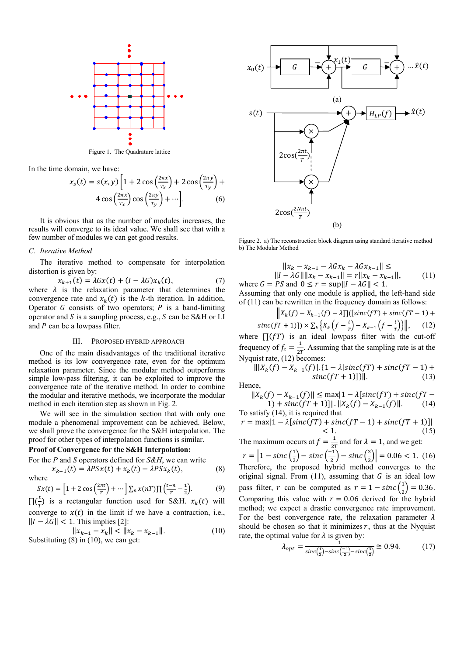

Figure 1. The Quadrature lattice

In the time domain, we have:

$$
x_{s}(t) = s(x, y) \left[ 1 + 2 \cos \left( \frac{2\pi x}{T_{x}} \right) + 2 \cos \left( \frac{2\pi y}{T_{y}} \right) + 4 \cos \left( \frac{2\pi x}{T_{x}} \right) \cos \left( \frac{2\pi y}{T_{y}} \right) + \cdots \right].
$$
 (6)

It is obvious that as the number of modules increases, the results will converge to its ideal value. We shall see that with a few number of modules we can get good results.

#### C. Iterative Method

The iterative method to compensate for interpolation distortion is given by:

$$
x_{k+1}(t) = \lambda Gx(t) + (I - \lambda G)x_k(t),
$$
 (7)  
where  $\lambda$  is the relaxation parameter that determines the  
convergence rate and  $x_k(t)$  is the *k*-th iteration. In addition,  
Operator *G* consists of two operators; *P* is a band-limiting  
operator and *S* is a sampling process, e.g., *S* can be S&H or LI  
and *P* can be a lowpass filter.

#### $III$ PROPOSED HYBRID APPROACH

One of the main disadvantages of the traditional iterative method is its low convergence rate, even for the optimum relaxation parameter. Since the modular method outperforms simple low-pass filtering, it can be exploited to improve the convergence rate of the iterative method. In order to combine the modular and iterative methods, we incorporate the modular method in each iteration step as shown in Fig. 2.

We will see in the simulation section that with only one module a phenomenal improvement can be achieved. Below, we shall prove the convergence for the S&H interpolation. The proof for other types of interpolation functions is similar.

# Proof of Convergence for the S&H Interpolation:

For the P and S operators defined for  $S\&H$ , we can write

$$
x_{k+1}(t) = \lambda PSx(t) + x_k(t) - \lambda PSx_k(t),
$$
\n(8)

$$
Sx(t) = \left[1 + 2\cos\left(\frac{2\pi t}{T}\right) + \cdots\right] \sum_{n} x(nT) \prod \left(\frac{t-n}{T} - \frac{1}{2}\right).
$$
 (9)

 $\prod_{r=0}^{\infty}$  is a rectangular function used for S&H.  $x_k(t)$  will converge to  $x(t)$  in the limit if we have a contraction, i.e.,  $||I - \lambda G|| < 1$ . This implies [2]:

$$
||x_{k+1} - x_k|| < ||x_k - x_{k-1}||.
$$
  
Substituting (8) in (10), we can get: (10)



Figure 2. a) The reconstruction block diagram using standard iterative method b) The Modular Method

$$
||x_{k} - x_{k-1} - \lambda G x_{k} - \lambda G x_{k-1}|| \le ||I - \lambda G|| ||x_{k} - x_{k-1}|| = r ||x_{k} - x_{k-1}||,
$$
  
= *PS* and *0*  $\leq$   $x = \text{cwell}$   $\leq$  *1*  $\leq$  *1*  $\leq$  *1*  $\leq$  *1*  $\leq$  *1*  $\leq$  *1*  $\leq$  *1*  $\leq$  *1*  $\leq$  *1*  $\leq$  *1*  $\leq$  *1*  $\leq$  *1*  $\leq$  *1*  $\leq$  *1*  $\leq$  *1*  $\leq$  *1*  $\leq$  *1*  $\leq$  *1*  $\leq$  *1*  $\leq$  *1*  $\leq$  *1*  $\leq$  *1*  $\leq$  *1*  $\leq$  *1*  $\leq$  *1*  $\leq$  *1*  $\leq$  *1*  $\leq$  *1*  $\leq$  *1*  $\leq$  *1*  $\leq$  *1*  $\leq$  *1*  $\leq$  *1*  $\leq$  *1*  $\leq$  *1*  $\leq$  *1*  $\leq$  *1*  $\leq$  *1*  $\leq$  *1*  $\leq$  *1*  $\leq$  *1*  $\leq$  *1*  $\leq$  *1*  $\leq$ 

where  $G = PS$  and  $0 \le r = \sup ||I - \lambda G|| < 1$ . Assuming that only one module is applied, the left-hand side of  $(11)$  can be rewritten in the frequency domain as follows:

 $\|X_k(f) - X_{k-1}(f) - \lambda \prod_{i=1}^n (sinc(fT) + sinc(fT - 1) +$ 

sinc(fT + 1)])  $\times \sum_{k} \left\{ X_k \left( f - \frac{i}{T} \right) - X_{k-1} \left( f - \frac{i}{T} \right) \right\} \Big|,$  (12)<br>where  $\prod(fT)$  is an ideal lowpass filter with the cut-off

frequency of  $f_c = \frac{1}{2T}$ . Assuming that the sampling rate is at the Nyquist rate, (12) becomes:

$$
\| [X_k(f) - X_{k-1}(f)] \cdot \{ 1 - \lambda[\text{sinc}(f) + \text{sinc}(f) - 1) + \text{sinc}(f) + \text{sinc}(f) \} \|.
$$
\n(13)

Hence,

$$
||X_k(f) - X_{k-1}(f)|| \le \max\{1 - \lambda|\text{sinc}(f) + \text{sinc}(f) - 1\} + \text{sinc}(f) + 1||. \quad ||X_k(f) - X_{k-1}(f)||. \tag{14}
$$

To satisfy (14), it is required that<br> $x = max(1 - \lambda \text{Isinc}(fT) + \text{sin}(\lambda \text{Isinc}(fT)))$ 

$$
r = \max[1 - \lambda[\text{snc}(f) + \text{snc}(f) - 1) + \text{snc}(f + 1)]|
$$
  
< 1. (15)

The maximum occurs at  $f = \frac{1}{2T}$  and for  $\lambda = 1$ , and we get:

 $r = \left|1 - \text{sinc}\left(\frac{1}{2}\right) - \text{sinc}\left(\frac{-1}{2}\right) - \text{sinc}\left(\frac{3}{2}\right)\right| = 0.06 < 1.$  (16) Therefore, the proposed hybrid method converges to the original signal. From  $(11)$ , assuming that G is an ideal low pass filter, r can be computed as  $r = 1 - \text{sinc}(\frac{1}{2}) = 0.36$ . Comparing this value with  $r = 0.06$  derived for the hybrid method; we expect a drastic convergence rate improvement. For the best convergence rate, the relaxation parameter  $\lambda$ should be chosen so that it minimizes  $r$ , thus at the Nyquist rate, the optimal value for  $\lambda$  is given by:

$$
\lambda_{opt} = \frac{1}{\text{sinc}\left(\frac{1}{2}\right) - \text{sinc}\left(\frac{-1}{2}\right) - \text{sinc}\left(\frac{3}{2}\right)} \cong 0.94. \tag{17}
$$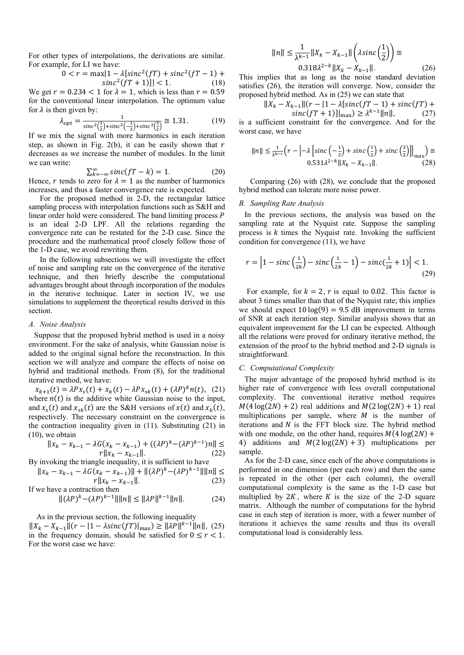For other types of interpolations, the derivations are similar. For example, for LI we have:

$$
0 < r = \max\{1 - \lambda[\text{sinc}^2(fT) + \text{sinc}^2(fT - 1) + \text{sinc}^2(fT + 1)]\} < 1. \tag{18}
$$

We get  $r = 0.234 < 1$  for  $\lambda = 1$ , which is less than  $r = 0.59$ for the conventional linear interpolation. The optimum value for  $\lambda$  is then given by:

$$
\lambda_{opt} = \frac{1}{\text{sinc}^2(\frac{1}{2}) + \text{sinc}^2(-\frac{1}{2}) + \text{sinc}^2(\frac{3}{2})} \approx 1.31. \tag{19}
$$

If we mix the signal with more harmonics in each iteration step, as shown in Fig. 2(b), it can be easily shown that  $r$ decreases as we increase the number of modules. In the limit we can write:

$$
\sum_{k=-\infty}^{\infty} sinc(fT-k) = 1.
$$
 (20)

Hence, r tends to zero for  $\lambda = 1$  as the number of harmonics increases, and thus a faster convergence rate is expected.

For the proposed method in 2-D, the rectangular lattice sampling process with interpolation functions such as S&H and linear order hold were considered. The band limiting process  $$ is an ideal 2-D LPF. All the relations regarding the convergence rate can be restated for the 2-D case. Since the procedure and the mathematical proof closely follow those of the 1-D case, we avoid rewriting them.

In the following subsections we will investigate the effect of noise and sampling rate on the convergence of the iterative technique, and then briefly describe the computational advantages brought about through incorporation of the modules in the iterative technique. Later in section IV, we use simulations to supplement the theoretical results derived in this section.

#### *A. Noise Analysis*

Suppose that the proposed hybrid method is used in a noisy environment. For the sake of analysis, white Gaussian noise is added to the original signal before the reconstruction. In this section we will analyze and compare the effects of noise on hybrid and traditional methods. From (8), for the traditional iterative method, we have:

 $x_{k+1}(t) = \lambda P x_s(t) + x_k(t) - \lambda P x_{sk}(t) + (\lambda P)^k n(t)$ , (21) where  $n(t)$  is the additive white Gaussian noise to the input, and  $x_s(t)$  and  $x_{sk}(t)$  are the S&H versions of  $x(t)$  and  $x_k(t)$ , respectively. The necessary constraint on the convergence is the contraction inequality given in (11). Substituting (21) in (10), we obtain

$$
||x_k - x_{k-1} - \lambda G(x_k - x_{k-1}) + ((\lambda P)^k - (\lambda P)^{k-1})n|| \le
$$
  

$$
r||x_k - x_{k-1}||. \tag{22}
$$

By invoking the triangle inequality, it is sufficient to have 
$$
\overline{a}
$$
.

$$
||x_k - x_{k-1} - \lambda G(x_k - x_{k-1})|| + ||(\lambda P)^k - (\lambda P)^{k-1}|| \, ||n|| \le
$$

$$
r||x_k - x_{k-1}||. \tag{23}
$$
  
If we have a contraction then

$$
\|(\lambda P)^k - (\lambda P)^{k-1}\| \|n\| \le \|\lambda P\|^{k-1} \|n\|.
$$
 (24)

As in the previous section, the following inequality

 $||X_k - X_{k-1}||(r - |1 - \lambda sinc(fT)|_{\max}) \ge ||\lambda P||^{k-1}||n||$ , (25) in the frequency domain, should be satisfied for  $0 \le r < 1$ . For the worst case we have:

$$
||n|| \le \frac{1}{\lambda^{k-1}} ||X_k - X_{k-1}|| \left(\lambda \operatorname{sinc} \left(\frac{1}{2}\right)\right) \cong
$$
  
0.318 $\lambda^{2-k} ||X_k - X_{k-1}||$ . (26)

This implies that as long as the noise standard deviation satisfies (26), the iteration will converge. Now, consider the proposed hybrid method. As in (25) we can state that

$$
||X_k - X_{k-1}||(r - |1 - \lambda[\text{sinc}(fT - 1) + \text{sinc}(fT) + \text{sinc}(fT + 1)]_{\text{max}}) \ge \lambda^{k-1} ||n||, \tag{27}
$$

is a sufficient constraint for the convergence. And for the worst case, we have

$$
||n|| \le \frac{1}{\lambda^{k-1}} \left( r - \left| -\lambda \left[ sinc\left(-\frac{1}{2}\right) + sinc\left(\frac{1}{2}\right) + sinc\left(\frac{3}{2}\right) \right] \right|_{\max} \right) \cong
$$
  
0.531 $\lambda^{2-k} ||X_k - X_{k-1}||$ . (28)

Comparing (26) with (28), we conclude that the proposed hybrid method can tolerate more noise power.

# *B. Sampling Rate Analysis*

In the previous sections, the analysis was based on the sampling rate at the Nyquist rate. Suppose the sampling process is  $k$  times the Nyquist rate. Invoking the sufficient condition for convergence (11), we have

$$
r = \left|1 - \operatorname{sinc}\left(\frac{1}{2k}\right) - \operatorname{sinc}\left(\frac{1}{2k} - 1\right) - \operatorname{sinc}\left(\frac{1}{2k} + 1\right)\right| < 1. \tag{29}
$$

For example, for  $k = 2$ , r is equal to 0.02. This factor is about 3 times smaller than that of the Nyquist rate; this implies we should expect  $10 \log(9) = 9.5$  dB improvement in terms of SNR at each iteration step. Similar analysis shows that an equivalent improvement for the LI can be expected. Although all the relations were proved for ordinary iterative method, the extension of the proof to the hybrid method and 2-D signals is straightforward.

#### *C. Computational Complexity*

The major advantage of the proposed hybrid method is its higher rate of convergence with less overall computational complexity. The conventional iterative method requires  $M(4 \log(2N) + 2)$  real additions and  $M(2 \log(2N) + 1)$  real multiplications per sample, where  $M$  is the number of iterations and  $N$  is the FFT block size. The hybrid method with one module, on the other hand, requires  $M(4 \log(2*N*))$  + 4) additions and  $M(2 \log(2N) + 3)$  multiplications per sample.

As for the 2-D case, since each of the above computations is performed in one dimension (per each row) and then the same is repeated in the other (per each column), the overall computational complexity is the same as the 1-D case but multiplied by  $2K$ , where K is the size of the 2-D square matrix. Although the number of computations for the hybrid case in each step of iteration is more, with a fewer number of iterations it achieves the same results and thus its overall computational load is considerably less.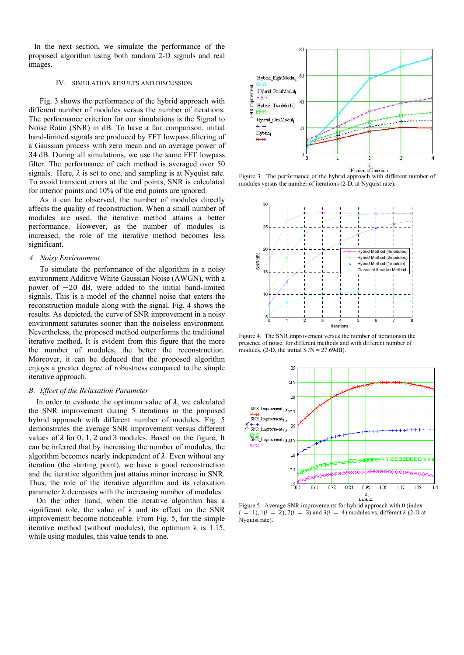In the next section, we simulate the performance of the proposed algorithm using both random 2-D signals and real images.

#### IV. SIMULATION RESULTS AND DISCUSSION

Fig. 3 shows the performance of the hybrid approach with different number of modules versus the number of iterations. The performance criterion for our simulations is the Signal to Noise Ratio (SNR) in dB. To have a fair comparison, initial band-limited signals are produced by FFT lowpass filtering of a Gaussian process with zero mean and an average power of 34 dB. During all simulations, we use the same FFT lowpass filter. The performance of each method is averaged over 50 signals. Here,  $\lambda$  is set to one, and sampling is at Nyquist rate. To avoid transient errors at the end points, SNR is calculated for interior points and 10% of the end points are ignored.

As it can be observed, the number of modules directly affects the quality of reconstruction. When a small number of modules are used, the iterative method attains a better performance. However, as the number of modules is increased, the role of the iterative method becomes less significant.

### *A. Noisy Environment*

To simulate the performance of the algorithm in a noisy environment Additive White Gaussian Noise (AWGN), with a power of  $-20$  dB, were added to the initial band-limited signals. This is a model of the channel noise that enters the reconstruction module along with the signal. Fig. 4 shows the results. As depicted, the curve of SNR improvement in a noisy environment saturates sooner than the noiseless environment. Nevertheless, the proposed method outperforms the traditional iterative method. It is evident from this figure that the more the number of modules, the better the reconstruction. Moreover, it can be deduced that the proposed algorithm enjoys a greater degree of robustness compared to the simple iterative approach.

### *B. Effcet of the Relaxation Parameter*

In order to evaluate the optimum value of  $\lambda$ , we calculated the SNR improvement during 5 iterations in the proposed hybrid approach with different number of modules. Fig. 5 demonstrates the average SNR improvement versus different values of  $\lambda$  for 0, 1, 2 and 3 modules. Based on the figure, It can be inferred that by increasing the number of modules, the algorithm becomes nearly independent of  $\lambda$ . Even without any iteration (the starting point), we have a good reconstruction and the iterative algorithm just attains minor increase in SNR. Thus, the role of the iterative algorithm and its relaxation parameter λ decreases with the increasing number of modules.

On the other hand, when the iterative algorithm has a significant role, the value of  $\lambda$  and its effect on the SNR improvement become noticeable. From Fig. 5, for the simple iterative method (without modules), the optimum  $\lambda$  is 1.15, while using modules, this value tends to one.



Figure 3. The performance of the hybrid approach with different number of modules versus the number of iterations (2-D, at Nyquist rate).



Figure 4. The SNR improvement versus the number of iterationsin the presence of noise, for different methods and with different number of modules, (2-D, the initial S  $/N = 27.69$ dB).



Figure 5. Average SNR improvements for hybrid approach with 0 (index  $i = 1$ ,  $1(i = 2)$ ,  $2(i = 3)$  and  $3(i = 4)$  modules vs. different  $\lambda$  (2-D at Nyquist rate).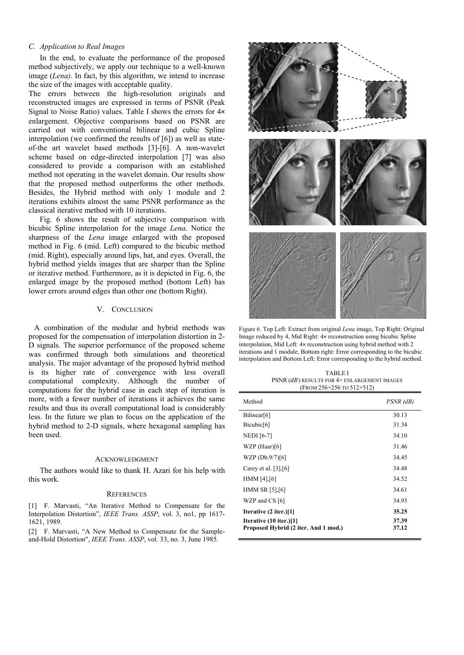# *C. Application to Real Images*

In the end, to evaluate the performance of the proposed method subjectively, we apply our technique to a well-known image (*Lena)*. In fact, by this algorithm, we intend to increase the size of the images with acceptable quality.

The errors between the high-resolution originals and reconstructed images are expressed in terms of PSNR (Peak Signal to Noise Ratio) values. Table I shows the errors for 4× enlargement. Objective comparisons based on PSNR are carried out with conventional bilinear and cubic Spline interpolation (we confirmed the results of [6]) as well as stateof-the art wavelet based methods [3]-[6]. A non-wavelet scheme based on edge-directed interpolation [7] was also considered to provide a comparison with an established method not operating in the wavelet domain. Our results show that the proposed method outperforms the other methods. Besides, the Hybrid method with only 1 module and 2 iterations exhibits almost the same PSNR performance as the classical iterative method with 10 iterations.

Fig. 6 shows the result of subjective comparison with bicubic Spline interpolation for the image *Lena*. Notice the sharpness of the *Lena* image enlarged with the proposed method in Fig. 6 (mid. Left) compared to the bicubic method (mid. Right), especially around lips, hat, and eyes. Overall, the hybrid method yields images that are sharper than the Spline or iterative method. Furthermore, as it is depicted in Fig. 6, the enlarged image by the proposed method (bottom Left) has lower errors around edges than other one (bottom Right).

## V. CONCLUSION

A combination of the modular and hybrid methods was proposed for the compensation of interpolation distortion in 2- D signals. The superior performance of the proposed scheme was confirmed through both simulations and theoretical analysis. The major advantage of the proposed hybrid method is its higher rate of convergence with less overall computational complexity. Although the number of computations for the hybrid case in each step of iteration is more, with a fewer number of iterations it achieves the same results and thus its overall computational load is considerably less. In the future we plan to focus on the application of the hybrid method to 2-D signals, where hexagonal sampling has been used.

#### ACKNOWLEDGMENT

The authors would like to thank H. Azari for his help with this work.

#### **REFERENCES**

[1] F. Marvasti, "An Iterative Method to Compensate for the Interpolation Distortion", *IEEE Trans. ASSP*, vol. 3, no1, pp 1617- 1621, 1989.

[2] F. Marvasti, "A New Method to Compensate for the Sampleand-Hold Distortion", *IEEE Trans. ASSP*, vol. 33, no. 3, June 1985.



Figure 6. Top Left: Extract from original *Lena* image, Top Right: Original Image reduced by 4, Mid Right: 4× reconstruction using bicubic Spline interpolation, Mid Left: 4× reconstruction using hybrid method with 2 iterations and 1 module, Bottom right: Error corresponding to the bicubic interpolation and Bottom Left: Error corresponding to the hybrid method.

TABLE I PSNR  $(dB)$  results for  $4\times$  enlargement images (FROM 256×256 TO 512×512)

| Method                                                                  | PSNR (dB)      |
|-------------------------------------------------------------------------|----------------|
| Bilinear[6]                                                             | 30.13          |
| Bicubic[6]                                                              | 31.34          |
| <b>NEDI</b> [6-7]                                                       | 34.10          |
| WZP (Haar)[6]                                                           | 31.46          |
| WZP (Db.9/7)[6]                                                         | 34.45          |
| Carey et al. $[3],[6]$                                                  | 34.48          |
| HMM [4],[6]                                                             | 34.52          |
| HMM SR $[5]$ , $[6]$                                                    | 34.61          |
| WZP and CS [6]                                                          | 34.93          |
| Iterative (2 iter.)[1]                                                  | 35.25          |
| <b>Iterative (10 iter.)</b> [1]<br>Proposed Hybrid (2 iter. And 1 mod.) | 37.39<br>37.12 |